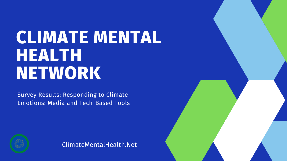# **CLIMATE MENTAL HEALTH NETWORK**

Survey Results: Responding to Climate Emotions: Media and Tech-Based Tools



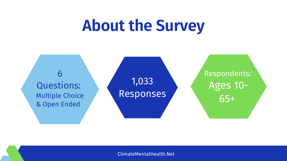# **About the Survey**

1,033 Responses

### Respondents: Ages 10- 65+

6 Questions: Multiple Choice & Open Ended

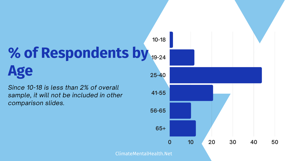*Since 10-18 is less than 2% of overall sample, it will not be included in other comparison slides.* **41-55**

## **% of Respondents by 19-24 Age 25-40**



**10-18**

**56-65**

**65+**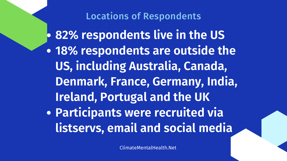Locations of Respondents **82% respondents live in the US 18% respondents are outside the US, including Australia, Canada, Denmark, France, Germany, India, Ireland, Portugal and the UK Participants were recruited via listservs, email and social media**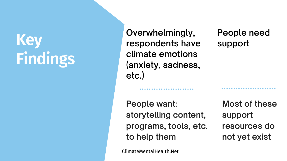# **Key Findings**

**Overwhelmingly, respondents have climate emotions (anxiety, sadness, etc.)**

### **People need support**

**People want: storytelling content, programs, tools, etc. to help them**

**Most of these support resources do not yet exist**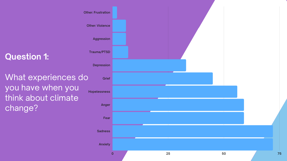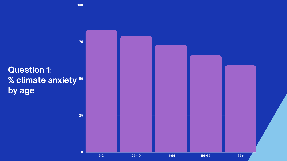



**100**

**75**

**0**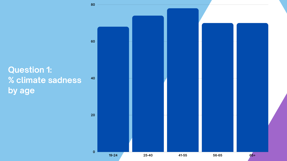### **Question 1: % climate sadness by age**



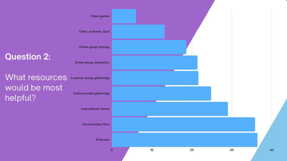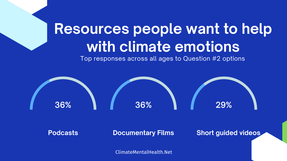

## **Resources people want to help with climate emotions** Top responses across all ages to Question #2 options

#### **Podcasts Documentary Films Short guided videos**

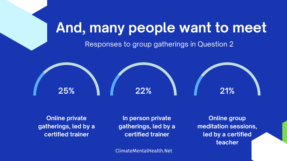

**Online private gatherings, led by a certified trainer**

**In person private gatherings, led by a certified trainer**

## **And, many people want to meet** Responses to group gatherings in Question 2

**Online group meditation sessions, led by a certified teacher**

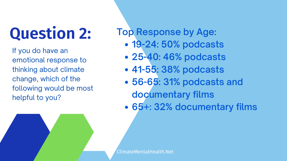# **Question 2:**

If you do have an emotional response to thinking about climate change, which of the following would be most helpful to you?

- **19-24: 50% podcasts**
- **25-40: 46% podcasts**
- **41-55: 38% podcasts**
- **56-65: 31% podcasts and**
	- **documentary films**
- **65+: 32% documentary films**

**Top Response by Age:**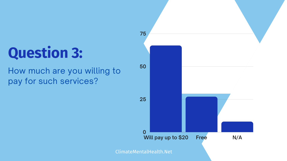# **Question 3:**

### How much are you willing to pay for such services?

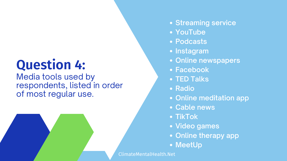## **Question 4:**

Media tools used by respondents, listed in order of most regular use.

**Streaming service YouTube Podcasts Instagram Online newspapers Facebook TED Talks • Radio Online meditation app Cable news TikTok Video games Online therapy app MeetUp**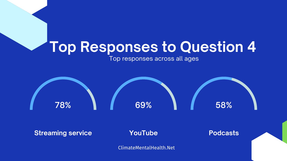

#### **Streaming service <b>CONTUBE Podcasts**

### **Top Responses to Question 4** Top responses across all ages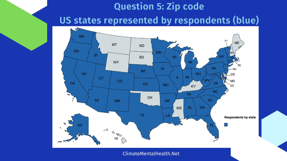## **Question 5: Zip code US states represented by respondents (blue)**

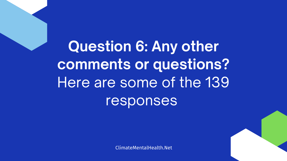**Question 6: Any other comments or questions?** Here are some of the 139 responses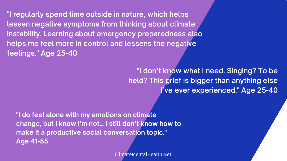**"I regularly spend time outside in nature, which helps lessen negative symptoms from thinking about climate instability. Learning about emergency preparedness also helps me feel more in control and lessens the negative feelings. " Age 25-40**

> **"I don't know what I need. Singing? To be held? This grief is bigger than anything else I've ever experienced. " Age 25-40**

**"I do feel alone with my emotions on climate change, but I know I'm not… I still don't know how to make it a productive social conversation topic. " Age 41-55**

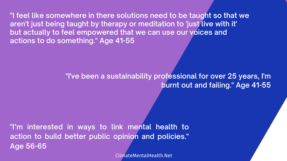**"I feel like somewhere in there solutions need to be taught so that we aren't just being taught by therapy or meditation to 'just live with it' but actually to feel empowered that we can use our voices and actions to do something. " Age 41-55**

**"I've been a sustainability professional for over 25 years, I'm**

# **burnt out and failing. " Age 41-55**

**"I'm interested in ways to link mental health to action to build better public opinion and policies. " Age 56-65**